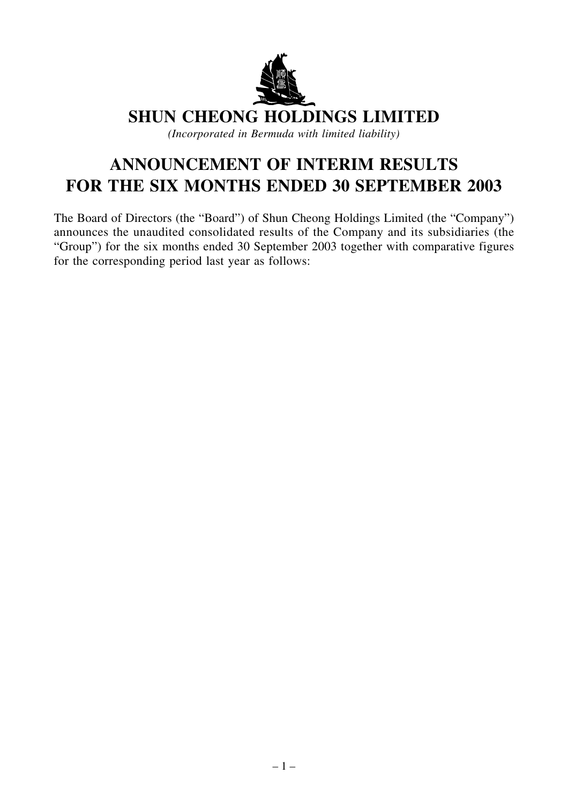

**SHUN CHEONG HOLDINGS LIMITED**

*(Incorporated in Bermuda with limited liability)*

# **ANNOUNCEMENT OF INTERIM RESULTS FOR THE SIX MONTHS ENDED 30 SEPTEMBER 2003**

The Board of Directors (the "Board") of Shun Cheong Holdings Limited (the "Company") announces the unaudited consolidated results of the Company and its subsidiaries (the "Group") for the six months ended 30 September 2003 together with comparative figures for the corresponding period last year as follows: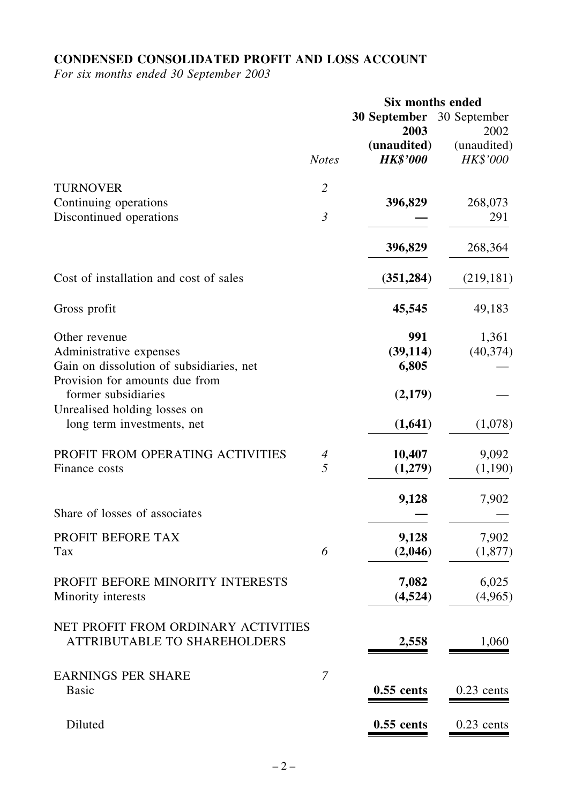# **CONDENSED CONSOLIDATED PROFIT AND LOSS ACCOUNT**

*For six months ended 30 September 2003*

|                                                                            |                          | Six months ended                  |                         |  |
|----------------------------------------------------------------------------|--------------------------|-----------------------------------|-------------------------|--|
|                                                                            |                          | 30 September 30 September<br>2003 | 2002                    |  |
|                                                                            | <b>Notes</b>             | (unaudited)<br><b>HK\$'000</b>    | (unaudited)<br>HK\$'000 |  |
| <b>TURNOVER</b>                                                            | $\overline{2}$           |                                   |                         |  |
| Continuing operations<br>Discontinued operations                           | $\mathfrak{Z}$           | 396,829                           | 268,073<br>291          |  |
|                                                                            |                          |                                   |                         |  |
|                                                                            |                          | 396,829                           | 268,364                 |  |
| Cost of installation and cost of sales                                     |                          | (351, 284)                        | (219, 181)              |  |
| Gross profit                                                               |                          | 45,545                            | 49,183                  |  |
| Other revenue                                                              |                          | 991                               | 1,361                   |  |
| Administrative expenses                                                    |                          | (39, 114)                         | (40, 374)               |  |
| Gain on dissolution of subsidiaries, net                                   |                          | 6,805                             |                         |  |
| Provision for amounts due from<br>former subsidiaries                      |                          | (2,179)                           |                         |  |
| Unrealised holding losses on<br>long term investments, net                 |                          | (1,641)                           | (1,078)                 |  |
| PROFIT FROM OPERATING ACTIVITIES                                           | $\overline{\mathcal{A}}$ | 10,407                            | 9,092                   |  |
| Finance costs                                                              | 5                        | (1,279)                           | (1,190)                 |  |
|                                                                            |                          | 9,128                             | 7,902                   |  |
| Share of losses of associates                                              |                          |                                   |                         |  |
| PROFIT BEFORE TAX                                                          |                          | 9,128                             | 7,902                   |  |
| Tax                                                                        | 6                        | (2,046)                           | (1,877)                 |  |
| PROFIT BEFORE MINORITY INTERESTS                                           |                          | 7,082                             | 6,025                   |  |
| Minority interests                                                         |                          | (4,524)                           | (4,965)                 |  |
| NET PROFIT FROM ORDINARY ACTIVITIES<br><b>ATTRIBUTABLE TO SHAREHOLDERS</b> |                          | 2,558                             | 1,060                   |  |
|                                                                            |                          |                                   |                         |  |
| <b>EARNINGS PER SHARE</b>                                                  | 7                        |                                   |                         |  |
| <b>Basic</b>                                                               |                          | $0.55$ cents                      | $0.23$ cents            |  |
| Diluted                                                                    |                          | $0.55$ cents                      | $0.23$ cents            |  |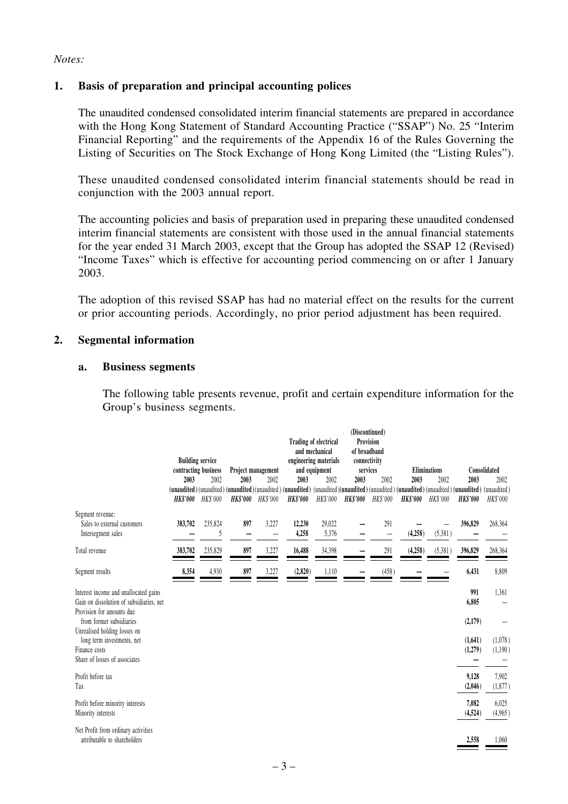#### *Notes:*

#### **1. Basis of preparation and principal accounting polices**

The unaudited condensed consolidated interim financial statements are prepared in accordance with the Hong Kong Statement of Standard Accounting Practice ("SSAP") No. 25 "Interim Financial Reporting" and the requirements of the Appendix 16 of the Rules Governing the Listing of Securities on The Stock Exchange of Hong Kong Limited (the "Listing Rules").

These unaudited condensed consolidated interim financial statements should be read in conjunction with the 2003 annual report.

The accounting policies and basis of preparation used in preparing these unaudited condensed interim financial statements are consistent with those used in the annual financial statements for the year ended 31 March 2003, except that the Group has adopted the SSAP 12 (Revised) "Income Taxes" which is effective for accounting period commencing on or after 1 January 2003.

The adoption of this revised SSAP has had no material effect on the results for the current or prior accounting periods. Accordingly, no prior period adjustment has been required.

#### **2. Segmental information**

#### **a. Business segments**

The following table presents revenue, profit and certain expenditure information for the Group's business segments.

|                                                                                                              | <b>Building service</b><br>contracting business<br>2003<br>2002 |                          | Project management<br>2003<br>2002<br>(unaudited) (unaudited) (unaudited) (unaudited) (unaudited) (unaudited) (unaudited) (unaudited) (unaudited) (unaudited) (unaudited) (unaudited) (unaudited) |          | Trading of electrical<br>and mechanical<br>engineering materials<br>and equipment<br>2003<br>2002 |                 | (Discontinued)<br>Provision<br>of broadband<br>connectivity<br>services<br>2003<br>2002 |          | <b>Eliminations</b><br>2003<br>2002 |          | 2003               | Consolidated<br>2002 |
|--------------------------------------------------------------------------------------------------------------|-----------------------------------------------------------------|--------------------------|---------------------------------------------------------------------------------------------------------------------------------------------------------------------------------------------------|----------|---------------------------------------------------------------------------------------------------|-----------------|-----------------------------------------------------------------------------------------|----------|-------------------------------------|----------|--------------------|----------------------|
|                                                                                                              |                                                                 | <b>HK\$'000</b> HK\$'000 | HK\$'000                                                                                                                                                                                          | HK\$'000 | <b>HK\$'000</b>                                                                                   | HK\$'000        | <b>HK\$'000</b>                                                                         | HK\$'000 | <b>HK\$'000</b>                     | HK\$'000 | HK\$'000           | <b>HK\$'000</b>      |
| Segment revenue:<br>Sales to external customers<br>Intersegment sales                                        | 383,702                                                         | 235,824<br>5             | 897                                                                                                                                                                                               | 3,227    | 12,230<br>4,258                                                                                   | 29,022<br>5,376 |                                                                                         | 291      | (4,258)                             | (5,381)  | 396,829            | 268,364              |
| Total revenue                                                                                                | 383,702                                                         | 235,829                  | 897                                                                                                                                                                                               | 3,227    | 16,488                                                                                            | 34,398          |                                                                                         | 291      | (4,258)                             | (5,381)  | 396,829            | 268,364              |
| Segment results                                                                                              | 8,354                                                           | 4,930                    | 897                                                                                                                                                                                               | 3,227    | (2,820)                                                                                           | 1,110           |                                                                                         | (458)    |                                     |          | 6,431              | 8,809                |
| Interest income and unallocated gains<br>Gain on dissolution of subsidiaries, net                            |                                                                 |                          |                                                                                                                                                                                                   |          |                                                                                                   |                 |                                                                                         |          |                                     |          | 991<br>6,805       | 1,361                |
| Provision for amounts due<br>from former subsidiaries                                                        |                                                                 |                          |                                                                                                                                                                                                   |          |                                                                                                   |                 |                                                                                         |          |                                     |          | (2,179)            |                      |
| Unrealised holding losses on<br>long term investments, net<br>Finance costs<br>Share of losses of associates |                                                                 |                          |                                                                                                                                                                                                   |          |                                                                                                   |                 |                                                                                         |          |                                     |          | (1,641)<br>(1,279) | (1,078)<br>(1,190)   |
| Profit before tax<br>Tax                                                                                     |                                                                 |                          |                                                                                                                                                                                                   |          |                                                                                                   |                 |                                                                                         |          |                                     |          | 9,128<br>(2,046)   | 7,902<br>(1,877)     |
| Profit before minority interests<br>Minority interests                                                       |                                                                 |                          |                                                                                                                                                                                                   |          |                                                                                                   |                 |                                                                                         |          |                                     |          | 7,082<br>(4, 524)  | 6,025<br>(4,965)     |
| Net Profit from ordinary activities<br>attributable to shareholders                                          |                                                                 |                          |                                                                                                                                                                                                   |          |                                                                                                   |                 |                                                                                         |          |                                     |          | 2,558              | 1,060                |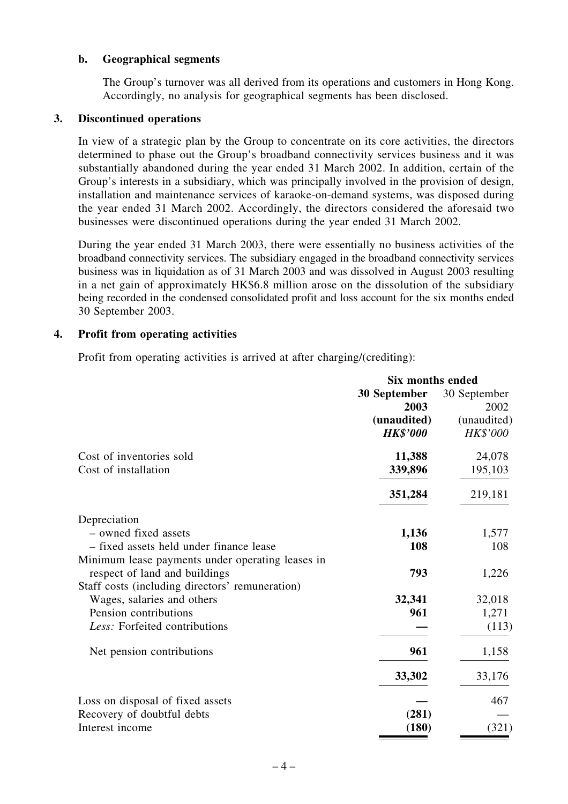#### **b. Geographical segments**

The Group's turnover was all derived from its operations and customers in Hong Kong. Accordingly, no analysis for geographical segments has been disclosed.

#### **3. Discontinued operations**

In view of a strategic plan by the Group to concentrate on its core activities, the directors determined to phase out the Group's broadband connectivity services business and it was substantially abandoned during the year ended 31 March 2002. In addition, certain of the Group's interests in a subsidiary, which was principally involved in the provision of design, installation and maintenance services of karaoke-on-demand systems, was disposed during the year ended 31 March 2002. Accordingly, the directors considered the aforesaid two businesses were discontinued operations during the year ended 31 March 2002.

During the year ended 31 March 2003, there were essentially no business activities of the broadband connectivity services. The subsidiary engaged in the broadband connectivity services business was in liquidation as of 31 March 2003 and was dissolved in August 2003 resulting in a net gain of approximately HK\$6.8 million arose on the dissolution of the subsidiary being recorded in the condensed consolidated profit and loss account for the six months ended 30 September 2003.

#### **4. Profit from operating activities**

Profit from operating activities is arrived at after charging/(crediting):

|                                                  | Six months ended               |                         |  |  |
|--------------------------------------------------|--------------------------------|-------------------------|--|--|
|                                                  | 30 September<br>2003           | 30 September<br>2002    |  |  |
|                                                  | (unaudited)<br><b>HK\$'000</b> | (unaudited)<br>HK\$'000 |  |  |
| Cost of inventories sold                         | 11,388                         | 24,078                  |  |  |
| Cost of installation                             | 339,896                        | 195,103                 |  |  |
|                                                  | 351,284                        | 219,181                 |  |  |
| Depreciation                                     |                                |                         |  |  |
| - owned fixed assets                             | 1,136                          | 1,577                   |  |  |
| - fixed assets held under finance lease          | 108                            | 108                     |  |  |
| Minimum lease payments under operating leases in |                                |                         |  |  |
| respect of land and buildings                    | 793                            | 1,226                   |  |  |
| Staff costs (including directors' remuneration)  |                                |                         |  |  |
| Wages, salaries and others                       | 32,341                         | 32,018                  |  |  |
| Pension contributions                            | 961                            | 1,271                   |  |  |
| Less: Forfeited contributions                    |                                | (113)                   |  |  |
| Net pension contributions                        | 961                            | 1,158                   |  |  |
|                                                  | 33,302                         | 33,176                  |  |  |
| Loss on disposal of fixed assets                 |                                | 467                     |  |  |
| Recovery of doubtful debts                       | (281)                          |                         |  |  |
| Interest income                                  | (180)                          | (321)                   |  |  |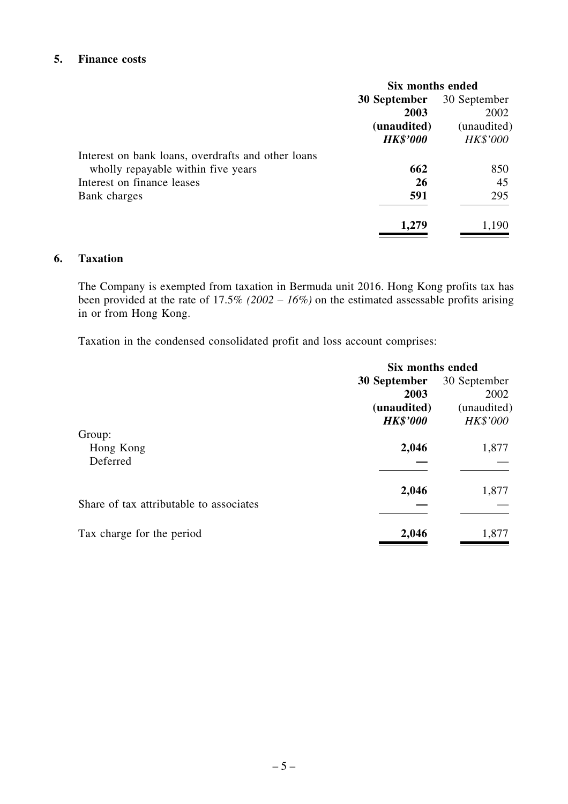## **5. Finance costs**

|                                                    | Six months ended |                 |  |
|----------------------------------------------------|------------------|-----------------|--|
|                                                    | 30 September     | 30 September    |  |
|                                                    | 2003             | 2002            |  |
|                                                    | (unaudited)      | (unaudited)     |  |
|                                                    | <b>HK\$'000</b>  | <b>HK\$'000</b> |  |
| Interest on bank loans, overdrafts and other loans |                  |                 |  |
| wholly repayable within five years                 | 662              | 850             |  |
| Interest on finance leases                         | 26               | 45              |  |
| Bank charges                                       | 591              | 295             |  |
|                                                    | 1,279            | 1,190           |  |

#### **6. Taxation**

The Company is exempted from taxation in Bermuda unit 2016. Hong Kong profits tax has been provided at the rate of 17.5% *(2002 – 16%)* on the estimated assessable profits arising in or from Hong Kong.

Taxation in the condensed consolidated profit and loss account comprises:

|                                         | Six months ended |              |  |  |
|-----------------------------------------|------------------|--------------|--|--|
|                                         | 30 September     | 30 September |  |  |
|                                         | 2003             | 2002         |  |  |
|                                         | (unaudited)      | (unaudited)  |  |  |
|                                         | <b>HK\$'000</b>  | HK\$'000     |  |  |
| Group:                                  |                  |              |  |  |
| Hong Kong                               | 2,046            | 1,877        |  |  |
| Deferred                                |                  |              |  |  |
|                                         | 2,046            | 1,877        |  |  |
| Share of tax attributable to associates |                  |              |  |  |
| Tax charge for the period               | 2,046            | 1,877        |  |  |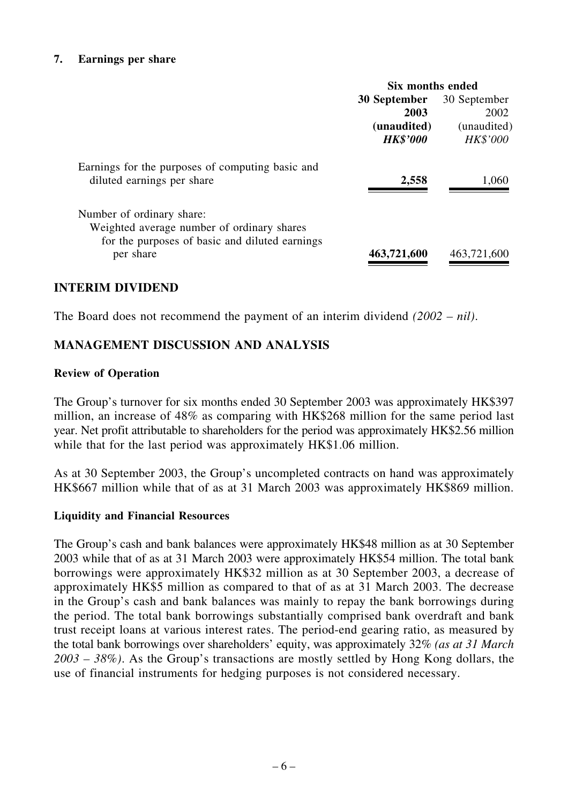#### **7. Earnings per share**

|                                                                                                                           | Six months ended    |                 |  |  |
|---------------------------------------------------------------------------------------------------------------------------|---------------------|-----------------|--|--|
|                                                                                                                           | <b>30 September</b> | 30 September    |  |  |
|                                                                                                                           | 2003                | 2002            |  |  |
|                                                                                                                           | (unaudited)         | (unaudited)     |  |  |
|                                                                                                                           | <b>HK\$'000</b>     | <b>HK\$'000</b> |  |  |
| Earnings for the purposes of computing basic and<br>diluted earnings per share                                            | 2,558               | 1,060           |  |  |
| Number of ordinary share:<br>Weighted average number of ordinary shares<br>for the purposes of basic and diluted earnings |                     |                 |  |  |
| per share                                                                                                                 | 463,721,600         | 463,721,600     |  |  |

## **INTERIM DIVIDEND**

The Board does not recommend the payment of an interim dividend *(2002 – nil)*.

## **MANAGEMENT DISCUSSION AND ANALYSIS**

#### **Review of Operation**

The Group's turnover for six months ended 30 September 2003 was approximately HK\$397 million, an increase of 48% as comparing with HK\$268 million for the same period last year. Net profit attributable to shareholders for the period was approximately HK\$2.56 million while that for the last period was approximately HK\$1.06 million.

As at 30 September 2003, the Group's uncompleted contracts on hand was approximately HK\$667 million while that of as at 31 March 2003 was approximately HK\$869 million.

## **Liquidity and Financial Resources**

The Group's cash and bank balances were approximately HK\$48 million as at 30 September 2003 while that of as at 31 March 2003 were approximately HK\$54 million. The total bank borrowings were approximately HK\$32 million as at 30 September 2003, a decrease of approximately HK\$5 million as compared to that of as at 31 March 2003. The decrease in the Group's cash and bank balances was mainly to repay the bank borrowings during the period. The total bank borrowings substantially comprised bank overdraft and bank trust receipt loans at various interest rates. The period-end gearing ratio, as measured by the total bank borrowings over shareholders' equity, was approximately 32% *(as at 31 March 2003 – 38%)*. As the Group's transactions are mostly settled by Hong Kong dollars, the use of financial instruments for hedging purposes is not considered necessary.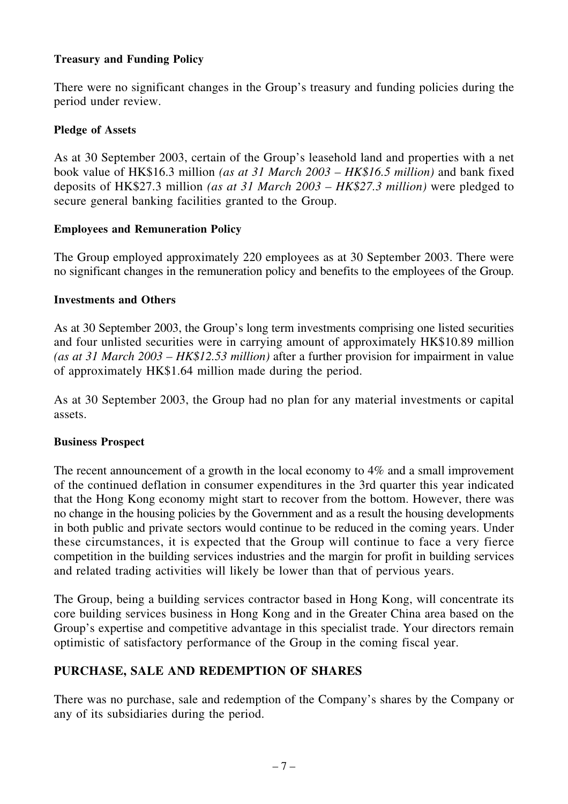## **Treasury and Funding Policy**

There were no significant changes in the Group's treasury and funding policies during the period under review.

## **Pledge of Assets**

As at 30 September 2003, certain of the Group's leasehold land and properties with a net book value of HK\$16.3 million *(as at 31 March 2003 – HK\$16.5 million)* and bank fixed deposits of HK\$27.3 million *(as at 31 March 2003 – HK\$27.3 million)* were pledged to secure general banking facilities granted to the Group.

## **Employees and Remuneration Policy**

The Group employed approximately 220 employees as at 30 September 2003. There were no significant changes in the remuneration policy and benefits to the employees of the Group.

## **Investments and Others**

As at 30 September 2003, the Group's long term investments comprising one listed securities and four unlisted securities were in carrying amount of approximately HK\$10.89 million *(as at 31 March 2003 – HK\$12.53 million)* after a further provision for impairment in value of approximately HK\$1.64 million made during the period.

As at 30 September 2003, the Group had no plan for any material investments or capital assets.

## **Business Prospect**

The recent announcement of a growth in the local economy to 4% and a small improvement of the continued deflation in consumer expenditures in the 3rd quarter this year indicated that the Hong Kong economy might start to recover from the bottom. However, there was no change in the housing policies by the Government and as a result the housing developments in both public and private sectors would continue to be reduced in the coming years. Under these circumstances, it is expected that the Group will continue to face a very fierce competition in the building services industries and the margin for profit in building services and related trading activities will likely be lower than that of pervious years.

The Group, being a building services contractor based in Hong Kong, will concentrate its core building services business in Hong Kong and in the Greater China area based on the Group's expertise and competitive advantage in this specialist trade. Your directors remain optimistic of satisfactory performance of the Group in the coming fiscal year.

# **PURCHASE, SALE AND REDEMPTION OF SHARES**

There was no purchase, sale and redemption of the Company's shares by the Company or any of its subsidiaries during the period.